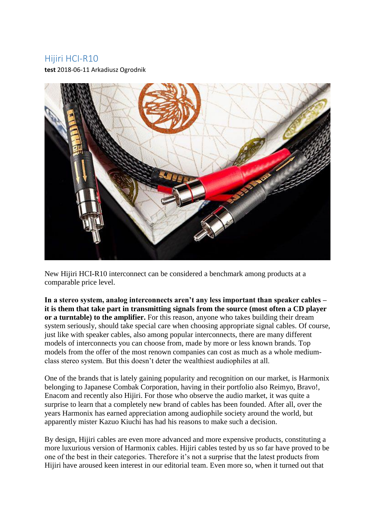#### Hijiri HCI-R10

**test** 2018-06-11 Arkadiusz Ogrodnik



New Hijiri HCI-R10 interconnect can be considered a benchmark among products at a comparable price level.

**In a stereo system, analog interconnects aren't any less important than speaker cables – it is them that take part in transmitting signals from the source (most often a CD player or a turntable) to the amplifier.** For this reason, anyone who takes building their dream system seriously, should take special care when choosing appropriate signal cables. Of course, just like with speaker cables, also among popular interconnects, there are many different models of interconnects you can choose from, made by more or less known brands. Top models from the offer of the most renown companies can cost as much as a whole mediumclass stereo system. But this doesn't deter the wealthiest audiophiles at all.

One of the brands that is lately gaining popularity and recognition on our market, is Harmonix belonging to Japanese Combak Corporation, having in their portfolio also Reimyo, Bravo!, Enacom and recently also Hijiri. For those who observe the audio market, it was quite a surprise to learn that a completely new brand of cables has been founded. After all, over the years Harmonix has earned appreciation among audiophile society around the world, but apparently mister Kazuo Kiuchi has had his reasons to make such a decision.

By design, Hijiri cables are even more advanced and more expensive products, constituting a more luxurious version of Harmonix cables. Hijiri cables tested by us so far have proved to be one of the best in their categories. Therefore it's not a surprise that the latest products from Hijiri have aroused keen interest in our editorial team. Even more so, when it turned out that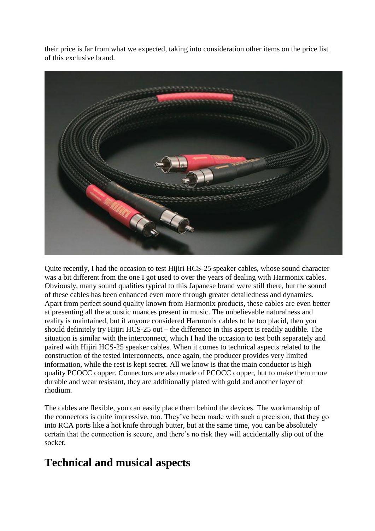their price is far from what we expected, taking into consideration other items on the price list of this exclusive brand.



Quite recently, I had the occasion to test Hijiri HCS-25 speaker cables, whose sound character was a bit different from the one I got used to over the years of dealing with Harmonix cables. Obviously, many sound qualities typical to this Japanese brand were still there, but the sound of these cables has been enhanced even more through greater detailedness and dynamics. Apart from perfect sound quality known from Harmonix products, these cables are even better at presenting all the acoustic nuances present in music. The unbelievable naturalness and reality is maintained, but if anyone considered Harmonix cables to be too placid, then you should definitely try Hijiri HCS-25 out – the difference in this aspect is readily audible. The situation is similar with the interconnect, which I had the occasion to test both separately and paired with Hijiri HCS-25 speaker cables. When it comes to technical aspects related to the construction of the tested interconnects, once again, the producer provides very limited information, while the rest is kept secret. All we know is that the main conductor is high quality PCOCC copper. Connectors are also made of PCOCC copper, but to make them more durable and wear resistant, they are additionally plated with gold and another layer of rhodium.

The cables are flexible, you can easily place them behind the devices. The workmanship of the connectors is quite impressive, too. They've been made with such a precision, that they go into RCA ports like a hot knife through butter, but at the same time, you can be absolutely certain that the connection is secure, and there's no risk they will accidentally slip out of the socket.

## **Technical and musical aspects**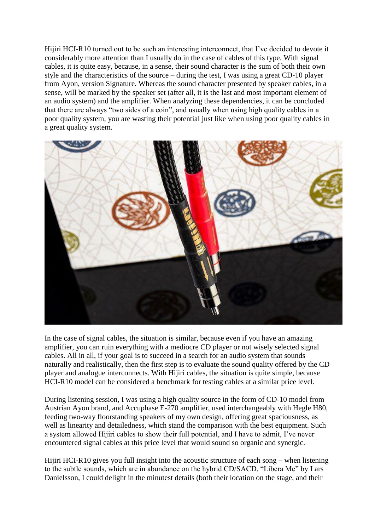Hijiri HCI-R10 turned out to be such an interesting interconnect, that I've decided to devote it considerably more attention than I usually do in the case of cables of this type. With signal cables, it is quite easy, because, in a sense, their sound character is the sum of both their own style and the characteristics of the source – during the test, I was using a great CD-10 player from Ayon, version Signature. Whereas the sound character presented by speaker cables, in a sense, will be marked by the speaker set (after all, it is the last and most important element of an audio system) and the amplifier. When analyzing these dependencies, it can be concluded that there are always "two sides of a coin", and usually when using high quality cables in a poor quality system, you are wasting their potential just like when using poor quality cables in a great quality system.



In the case of signal cables, the situation is similar, because even if you have an amazing amplifier, you can ruin everything with a mediocre CD player or not wisely selected signal cables. All in all, if your goal is to succeed in a search for an audio system that sounds naturally and realistically, then the first step is to evaluate the sound quality offered by the CD player and analogue interconnects. With Hijiri cables, the situation is quite simple, because HCI-R10 model can be considered a benchmark for testing cables at a similar price level.

During listening session, I was using a high quality source in the form of CD-10 model from Austrian Ayon brand, and Accuphase E-270 amplifier, used interchangeably with Hegle H80, feeding two-way floorstanding speakers of my own design, offering great spaciousness, as well as linearity and detailedness, which stand the comparison with the best equipment. Such a system allowed Hijiri cables to show their full potential, and I have to admit, I've never encountered signal cables at this price level that would sound so organic and synergic.

Hijiri HCI-R10 gives you full insight into the acoustic structure of each song – when listening to the subtle sounds, which are in abundance on the hybrid CD/SACD, "Libera Me" by Lars Danielsson, I could delight in the minutest details (both their location on the stage, and their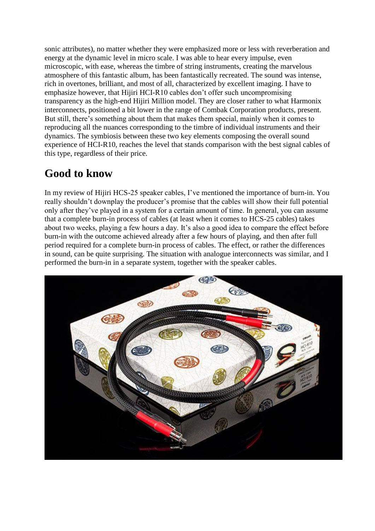sonic attributes), no matter whether they were emphasized more or less with reverberation and energy at the dynamic level in micro scale. I was able to hear every impulse, even microscopic, with ease, whereas the timbre of string instruments, creating the marvelous atmosphere of this fantastic album, has been fantastically recreated. The sound was intense, rich in overtones, brilliant, and most of all, characterized by excellent imaging. I have to emphasize however, that Hijiri HCI-R10 cables don't offer such uncompromising transparency as the high-end Hijiri Million model. They are closer rather to what Harmonix interconnects, positioned a bit lower in the range of Combak Corporation products, present. But still, there's something about them that makes them special, mainly when it comes to reproducing all the nuances corresponding to the timbre of individual instruments and their dynamics. The symbiosis between these two key elements composing the overall sound experience of HCI-R10, reaches the level that stands comparison with the best signal cables of this type, regardless of their price.

# **Good to know**

In my review of Hijiri HCS-25 speaker cables, I've mentioned the importance of burn-in. You really shouldn't downplay the producer's promise that the cables will show their full potential only after they've played in a system for a certain amount of time. In general, you can assume that a complete burn-in process of cables (at least when it comes to HCS-25 cables) takes about two weeks, playing a few hours a day. It's also a good idea to compare the effect before burn-in with the outcome achieved already after a few hours of playing, and then after full period required for a complete burn-in process of cables. The effect, or rather the differences in sound, can be quite surprising. The situation with analogue interconnects was similar, and I performed the burn-in in a separate system, together with the speaker cables.

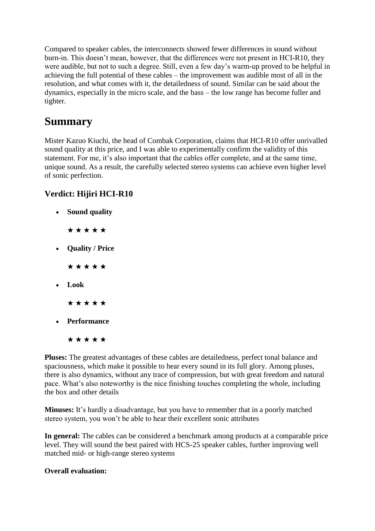Compared to speaker cables, the interconnects showed fewer differences in sound without burn-in. This doesn't mean, however, that the differences were not present in HCI-R10, they were audible, but not to such a degree. Still, even a few day's warm-up proved to be helpful in achieving the full potential of these cables – the improvement was audible most of all in the resolution, and what comes with it, the detailedness of sound. Similar can be said about the dynamics, especially in the micro scale, and the bass – the low range has become fuller and tighter.

# **Summary**

Mister Kazuo Kiuchi, the head of Combak Corporation, claims that HCI-R10 offer unrivalled sound quality at this price, and I was able to experimentally confirm the validity of this statement. For me, it's also important that the cables offer complete, and at the same time, unique sound. As a result, the carefully selected stereo systems can achieve even higher level of sonic perfection.

### **Verdict: Hijiri HCI-R10**

- **Sound quality**
	- ★ ★ ★ ★ ★
- **Quality / Price**

★ ★ ★ ★ ★

**Look**

★ ★ ★ ★ ★

**Performance**

#### ★ ★ ★ ★ ★

**Pluses:** The greatest advantages of these cables are detailedness, perfect tonal balance and spaciousness, which make it possible to hear every sound in its full glory. Among pluses, there is also dynamics, without any trace of compression, but with great freedom and natural pace. What's also noteworthy is the nice finishing touches completing the whole, including the box and other details

**Minuses:** It's hardly a disadvantage, but you have to remember that in a poorly matched stereo system, you won't be able to hear their excellent sonic attributes

**In general:** The cables can be considered a benchmark among products at a comparable price level. They will sound the best paired with HCS-25 speaker cables, further improving well matched mid- or high-range stereo systems

#### **Overall evaluation:**